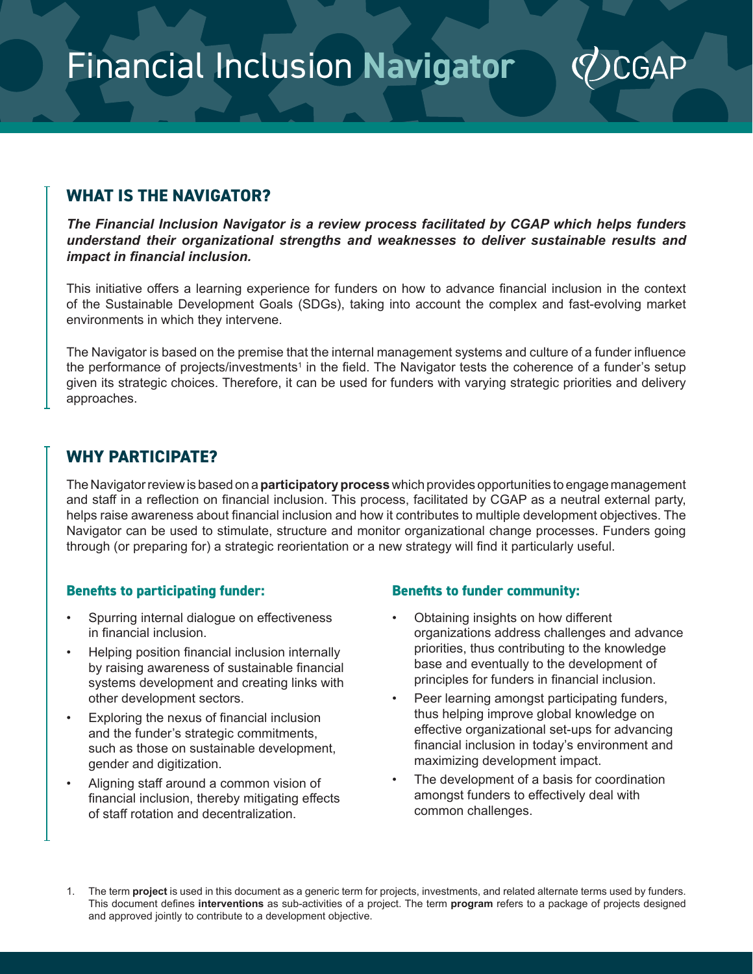Financial Inclusion **Navigator**

## **WHAT IS THE NAVIGATOR?**

*The Financial Inclusion Navigator is a review process facilitated by CGAP which helps funders understand their organizational strengths and weaknesses to deliver sustainable results and impact in financial inclusion.*

This initiative offers a learning experience for funders on how to advance financial inclusion in the context of the Sustainable Development Goals (SDGs), taking into account the complex and fast-evolving market environments in which they intervene.

The Navigator is based on the premise that the internal management systems and culture of a funder influence the performance of projects/investments $^1$  in the field. The Navigator tests the coherence of a funder's setup given its strategic choices. Therefore, it can be used for funders with varying strategic priorities and delivery approaches.

### **WHY PARTICIPATE?**

The Navigator review is based on a **participatory process** which provides opportunities to engage management and staff in a reflection on financial inclusion. This process, facilitated by CGAP as a neutral external party, helps raise awareness about financial inclusion and how it contributes to multiple development objectives. The Navigator can be used to stimulate, structure and monitor organizational change processes. Funders going through (or preparing for) a strategic reorientation or a new strategy will find it particularly useful.

#### **Benefits to participating funder:**

- Spurring internal dialogue on effectiveness in financial inclusion.
- Helping position financial inclusion internally by raising awareness of sustainable financial systems development and creating links with other development sectors.
- Exploring the nexus of financial inclusion and the funder's strategic commitments, such as those on sustainable development, gender and digitization.
- Aligning staff around a common vision of financial inclusion, thereby mitigating effects of staff rotation and decentralization.

#### **Benefits to funder community:**

• Obtaining insights on how different organizations address challenges and advance priorities, thus contributing to the knowledge base and eventually to the development of principles for funders in financial inclusion.

**CGA** 

- Peer learning amongst participating funders, thus helping improve global knowledge on effective organizational set-ups for advancing financial inclusion in today's environment and maximizing development impact.
- The development of a basis for coordination amongst funders to effectively deal with common challenges.
- 1. The term **project** is used in this document as a generic term for projects, investments, and related alternate terms used by funders. This document defines **interventions** as sub-activities of a project. The term **program** refers to a package of projects designed and approved jointly to contribute to a development objective.